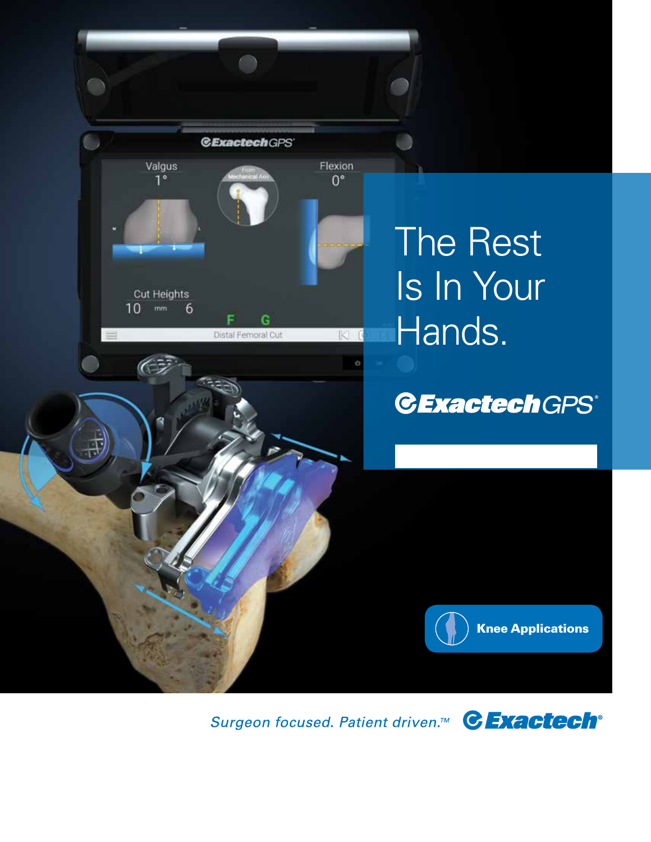

Surgeon focused. Patient driven.<sup>™</sup> CExactech<sup>®</sup>